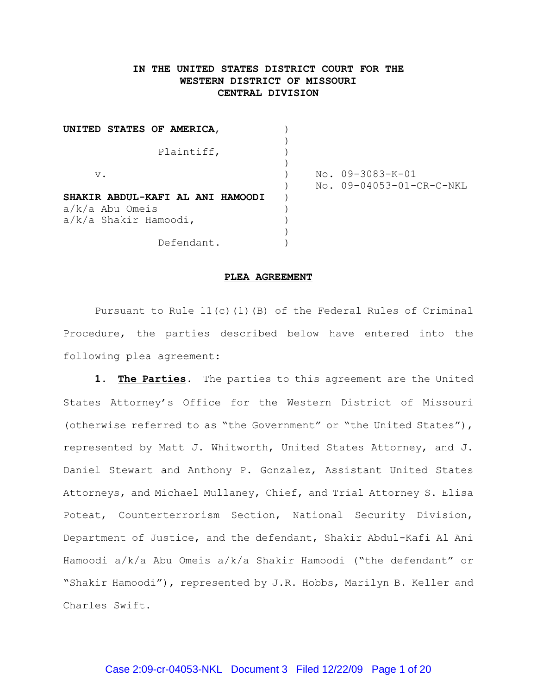# **IN THE UNITED STATES DISTRICT COURT FOR THE WESTERN DISTRICT OF MISSOURI CENTRAL DIVISION**

| UNITED STATES OF AMERICA,        |  |                          |
|----------------------------------|--|--------------------------|
| Plaintiff,                       |  |                          |
|                                  |  |                          |
| $V$ .                            |  | No. 09-3083-K-01         |
|                                  |  | No. 09-04053-01-CR-C-NKL |
| SHAKIR ABDUL-KAFI AL ANI HAMOODI |  |                          |
| $a/k/a$ Abu Omeis                |  |                          |
| $a/k/a$ Shakir Hamoodi,          |  |                          |
|                                  |  |                          |
| Defendant.                       |  |                          |

#### **PLEA AGREEMENT**

Pursuant to Rule 11(c)(1)(B) of the Federal Rules of Criminal Procedure, the parties described below have entered into the following plea agreement:

**1. The Parties.** The parties to this agreement are the United States Attorney's Office for the Western District of Missouri (otherwise referred to as "the Government" or "the United States"), represented by Matt J. Whitworth, United States Attorney, and J. Daniel Stewart and Anthony P. Gonzalez, Assistant United States Attorneys, and Michael Mullaney, Chief, and Trial Attorney S. Elisa Poteat, Counterterrorism Section, National Security Division, Department of Justice, and the defendant, Shakir Abdul-Kafi Al Ani Hamoodi a/k/a Abu Omeis a/k/a Shakir Hamoodi ("the defendant" or "Shakir Hamoodi"), represented by J.R. Hobbs, Marilyn B. Keller and Charles Swift.

### Case 2:09-cr-04053-NKL Document 3 Filed 12/22/09 Page 1 of 20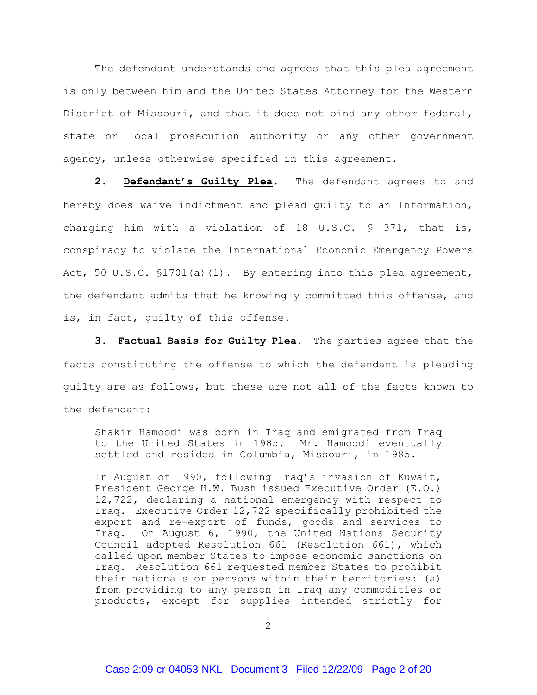The defendant understands and agrees that this plea agreement is only between him and the United States Attorney for the Western District of Missouri, and that it does not bind any other federal, state or local prosecution authority or any other government agency, unless otherwise specified in this agreement.

**2. Defendant's Guilty Plea.** The defendant agrees to and hereby does waive indictment and plead guilty to an Information, charging him with a violation of 18 U.S.C.  $\frac{1}{5}$  371, that is, conspiracy to violate the International Economic Emergency Powers Act, 50 U.S.C. \$1701(a)(1). By entering into this plea agreement, the defendant admits that he knowingly committed this offense, and is, in fact, guilty of this offense.

**3. Factual Basis for Guilty Plea.** The parties agree that the facts constituting the offense to which the defendant is pleading guilty are as follows, but these are not all of the facts known to the defendant:

Shakir Hamoodi was born in Iraq and emigrated from Iraq to the United States in 1985. Mr. Hamoodi eventually settled and resided in Columbia, Missouri, in 1985.

In August of 1990, following Iraq's invasion of Kuwait, President George H.W. Bush issued Executive Order (E.O.) 12,722, declaring a national emergency with respect to Iraq. Executive Order 12,722 specifically prohibited the export and re-export of funds, goods and services to Iraq. On August 6, 1990, the United Nations Security Council adopted Resolution 661 (Resolution 661), which called upon member States to impose economic sanctions on Iraq. Resolution 661 requested member States to prohibit their nationals or persons within their territories: (a) from providing to any person in Iraq any commodities or products, except for supplies intended strictly for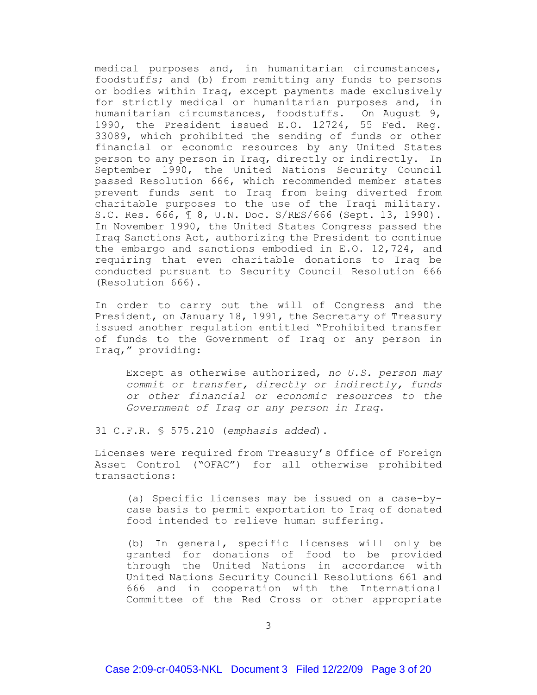medical purposes and, in humanitarian circumstances, foodstuffs; and (b) from remitting any funds to persons or bodies within Iraq, except payments made exclusively for strictly medical or humanitarian purposes and, in humanitarian circumstances, foodstuffs. On August 9, 1990, the President issued E.O. 12724, 55 Fed. Reg. 33089, which prohibited the sending of funds or other financial or economic resources by any United States person to any person in Iraq, directly or indirectly. In September 1990, the United Nations Security Council passed Resolution 666, which recommended member states prevent funds sent to Iraq from being diverted from charitable purposes to the use of the Iraqi military. S.C. Res. 666, ¶ 8, U.N. Doc. S/RES/666 (Sept. 13, 1990). In November 1990, the United States Congress passed the Iraq Sanctions Act, authorizing the President to continue the embargo and sanctions embodied in E.O. 12,724, and requiring that even charitable donations to Iraq be conducted pursuant to Security Council Resolution 666 (Resolution 666).

In order to carry out the will of Congress and the President, on January 18, 1991, the Secretary of Treasury issued another regulation entitled "Prohibited transfer of funds to the Government of Iraq or any person in Iraq," providing:

Except as otherwise authorized, *no U.S. person may commit or transfer, directly or indirectly, funds or other financial or economic resources to the Government of Iraq or any person in Iraq*.

31 C.F.R. § 575.210 (*emphasis added*).

Licenses were required from Treasury's Office of Foreign Asset Control ("OFAC") for all otherwise prohibited transactions:

(a) Specific licenses may be issued on a case-bycase basis to permit exportation to Iraq of donated food intended to relieve human suffering.

(b) In general, specific licenses will only be granted for donations of food to be provided through the United Nations in accordance with United Nations Security Council Resolutions 661 and 666 and in cooperation with the International Committee of the Red Cross or other appropriate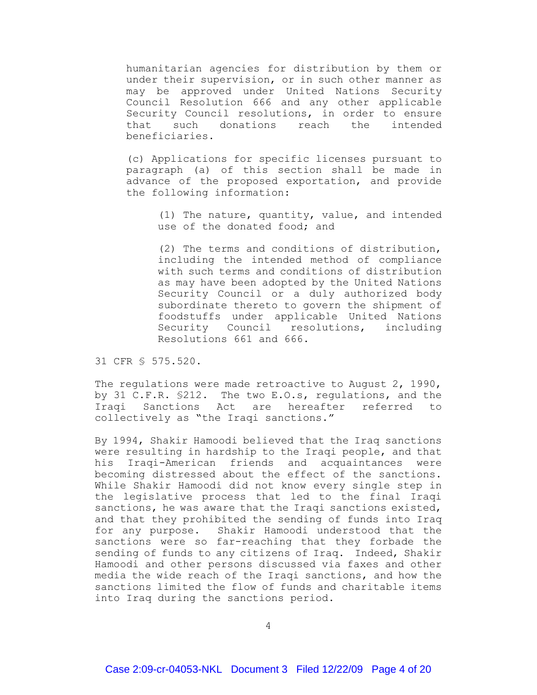humanitarian agencies for distribution by them or under their supervision, or in such other manner as may be approved under United Nations Security Council Resolution 666 and any other applicable Security Council resolutions, in order to ensure that such donations reach the intended beneficiaries.

(c) Applications for specific licenses pursuant to paragraph (a) of this section shall be made in advance of the proposed exportation, and provide the following information:

> (1) The nature, quantity, value, and intended use of the donated food; and

> (2) The terms and conditions of distribution, including the intended method of compliance with such terms and conditions of distribution as may have been adopted by the United Nations Security Council or a duly authorized body subordinate thereto to govern the shipment of foodstuffs under applicable United Nations Security Council resolutions, including Resolutions 661 and 666.

31 CFR § 575.520.

The regulations were made retroactive to August 2, 1990, by 31 C.F.R. §212. The two E.O.s, regulations, and the Iraqi Sanctions Act are hereafter referred to collectively as "the Iraqi sanctions."

By 1994, Shakir Hamoodi believed that the Iraq sanctions were resulting in hardship to the Iraqi people, and that his Iraqi-American friends and acquaintances were becoming distressed about the effect of the sanctions. While Shakir Hamoodi did not know every single step in the legislative process that led to the final Iraqi sanctions, he was aware that the Iraqi sanctions existed, and that they prohibited the sending of funds into Iraq for any purpose. Shakir Hamoodi understood that the sanctions were so far-reaching that they forbade the sending of funds to any citizens of Iraq. Indeed, Shakir Hamoodi and other persons discussed via faxes and other media the wide reach of the Iraqi sanctions, and how the sanctions limited the flow of funds and charitable items into Iraq during the sanctions period.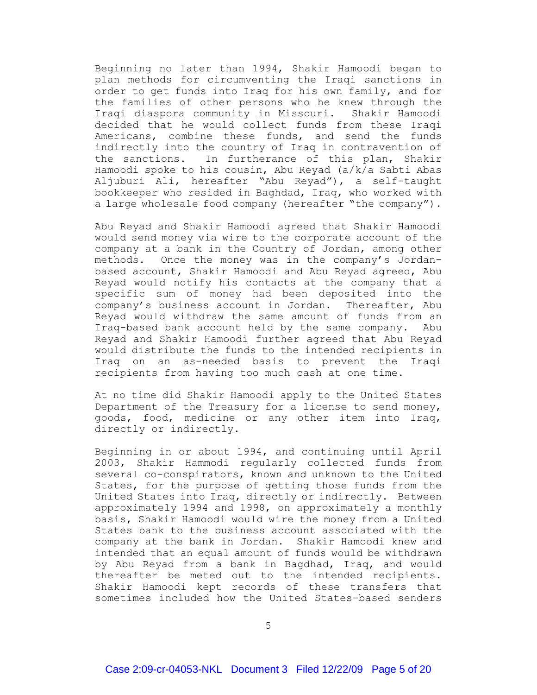Beginning no later than 1994, Shakir Hamoodi began to plan methods for circumventing the Iraqi sanctions in order to get funds into Iraq for his own family, and for the families of other persons who he knew through the Iraqi diaspora community in Missouri. Shakir Hamoodi decided that he would collect funds from these Iraqi Americans, combine these funds, and send the funds indirectly into the country of Iraq in contravention of the sanctions. In furtherance of this plan, Shakir Hamoodi spoke to his cousin, Abu Reyad (a/k/a Sabti Abas Aljuburi Ali, hereafter "Abu Reyad"), a self-taught bookkeeper who resided in Baghdad, Iraq, who worked with a large wholesale food company (hereafter "the company").

Abu Reyad and Shakir Hamoodi agreed that Shakir Hamoodi would send money via wire to the corporate account of the company at a bank in the Country of Jordan, among other methods. Once the money was in the company's Jordanbased account, Shakir Hamoodi and Abu Reyad agreed, Abu Reyad would notify his contacts at the company that a specific sum of money had been deposited into the company's business account in Jordan. Thereafter, Abu Reyad would withdraw the same amount of funds from an Iraq-based bank account held by the same company. Abu Reyad and Shakir Hamoodi further agreed that Abu Reyad would distribute the funds to the intended recipients in Iraq on an as-needed basis to prevent the Iraqi recipients from having too much cash at one time.

At no time did Shakir Hamoodi apply to the United States Department of the Treasury for a license to send money, goods, food, medicine or any other item into Iraq, directly or indirectly.

Beginning in or about 1994, and continuing until April 2003, Shakir Hammodi regularly collected funds from several co-conspirators, known and unknown to the United States, for the purpose of getting those funds from the United States into Iraq, directly or indirectly. Between approximately 1994 and 1998, on approximately a monthly basis, Shakir Hamoodi would wire the money from a United States bank to the business account associated with the company at the bank in Jordan. Shakir Hamoodi knew and intended that an equal amount of funds would be withdrawn by Abu Reyad from a bank in Bagdhad, Iraq, and would thereafter be meted out to the intended recipients. Shakir Hamoodi kept records of these transfers that sometimes included how the United States-based senders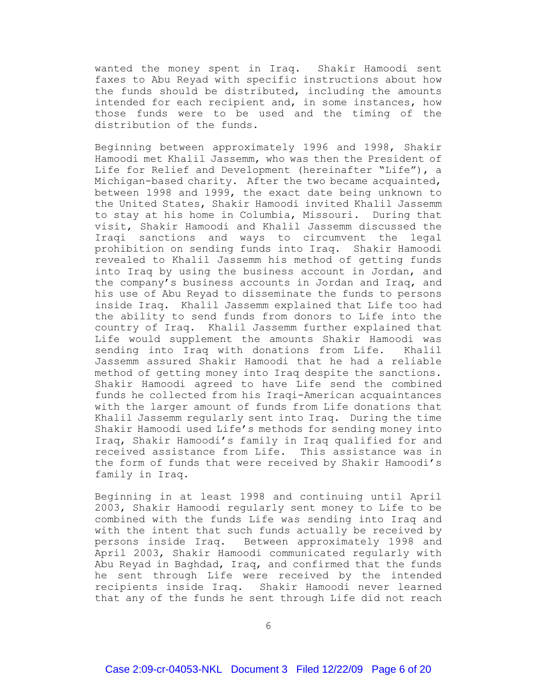wanted the money spent in Iraq. Shakir Hamoodi sent faxes to Abu Reyad with specific instructions about how the funds should be distributed, including the amounts intended for each recipient and, in some instances, how those funds were to be used and the timing of the distribution of the funds.

Beginning between approximately 1996 and 1998, Shakir Hamoodi met Khalil Jassemm, who was then the President of Life for Relief and Development (hereinafter "Life"), a Michigan-based charity. After the two became acquainted, between 1998 and 1999, the exact date being unknown to the United States, Shakir Hamoodi invited Khalil Jassemm to stay at his home in Columbia, Missouri. During that visit, Shakir Hamoodi and Khalil Jassemm discussed the Iraqi sanctions and ways to circumvent the legal prohibition on sending funds into Iraq. Shakir Hamoodi revealed to Khalil Jassemm his method of getting funds into Iraq by using the business account in Jordan, and the company's business accounts in Jordan and Iraq, and his use of Abu Reyad to disseminate the funds to persons inside Iraq. Khalil Jassemm explained that Life too had the ability to send funds from donors to Life into the country of Iraq. Khalil Jassemm further explained that Life would supplement the amounts Shakir Hamoodi was sending into Iraq with donations from Life. Khalil Jassemm assured Shakir Hamoodi that he had a reliable method of getting money into Iraq despite the sanctions. Shakir Hamoodi agreed to have Life send the combined funds he collected from his Iraqi-American acquaintances with the larger amount of funds from Life donations that Khalil Jassemm regularly sent into Iraq. During the time Shakir Hamoodi used Life's methods for sending money into Iraq, Shakir Hamoodi's family in Iraq qualified for and received assistance from Life. This assistance was in the form of funds that were received by Shakir Hamoodi's family in Iraq.

Beginning in at least 1998 and continuing until April 2003, Shakir Hamoodi regularly sent money to Life to be combined with the funds Life was sending into Iraq and with the intent that such funds actually be received by persons inside Iraq. Between approximately 1998 and April 2003, Shakir Hamoodi communicated regularly with Abu Reyad in Baghdad, Iraq, and confirmed that the funds he sent through Life were received by the intended recipients inside Iraq. Shakir Hamoodi never learned that any of the funds he sent through Life did not reach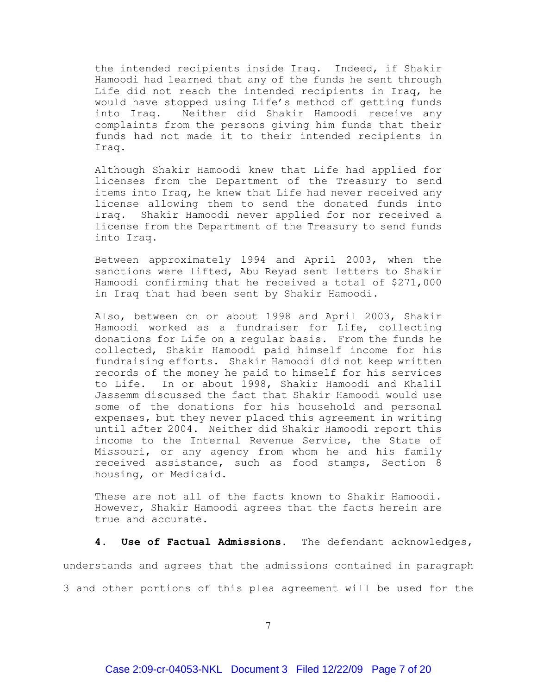the intended recipients inside Iraq. Indeed, if Shakir Hamoodi had learned that any of the funds he sent through Life did not reach the intended recipients in Iraq, he would have stopped using Life's method of getting funds into Iraq. Neither did Shakir Hamoodi receive any complaints from the persons giving him funds that their funds had not made it to their intended recipients in Iraq.

Although Shakir Hamoodi knew that Life had applied for licenses from the Department of the Treasury to send items into Iraq, he knew that Life had never received any license allowing them to send the donated funds into Iraq. Shakir Hamoodi never applied for nor received a license from the Department of the Treasury to send funds into Iraq.

Between approximately 1994 and April 2003, when the sanctions were lifted, Abu Reyad sent letters to Shakir Hamoodi confirming that he received a total of \$271,000 in Iraq that had been sent by Shakir Hamoodi.

Also, between on or about 1998 and April 2003, Shakir Hamoodi worked as a fundraiser for Life, collecting donations for Life on a regular basis. From the funds he collected, Shakir Hamoodi paid himself income for his fundraising efforts. Shakir Hamoodi did not keep written records of the money he paid to himself for his services to Life. In or about 1998, Shakir Hamoodi and Khalil Jassemm discussed the fact that Shakir Hamoodi would use some of the donations for his household and personal expenses, but they never placed this agreement in writing until after 2004. Neither did Shakir Hamoodi report this income to the Internal Revenue Service, the State of Missouri, or any agency from whom he and his family received assistance, such as food stamps, Section 8 housing, or Medicaid.

These are not all of the facts known to Shakir Hamoodi. However, Shakir Hamoodi agrees that the facts herein are true and accurate.

# **4. Use of Factual Admissions.** The defendant acknowledges,

understands and agrees that the admissions contained in paragraph 3 and other portions of this plea agreement will be used for the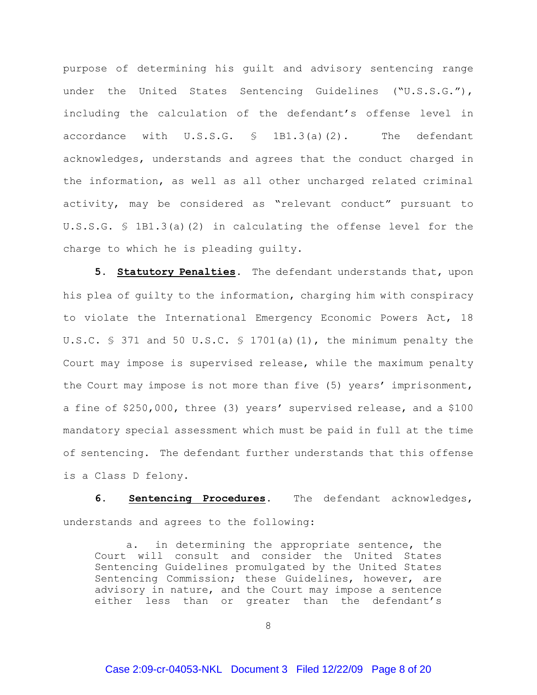purpose of determining his guilt and advisory sentencing range under the United States Sentencing Guidelines ("U.S.S.G."), including the calculation of the defendant's offense level in accordance with U.S.S.G. § 1B1.3(a)(2). The defendant acknowledges, understands and agrees that the conduct charged in the information, as well as all other uncharged related criminal activity, may be considered as "relevant conduct" pursuant to U.S.S.G. § 1B1.3(a)(2) in calculating the offense level for the charge to which he is pleading guilty.

**5. Statutory Penalties.** The defendant understands that, upon his plea of guilty to the information, charging him with conspiracy to violate the International Emergency Economic Powers Act, 18 U.S.C.  $\frac{1}{5}$  371 and 50 U.S.C.  $\frac{1}{5}$  1701(a)(1), the minimum penalty the Court may impose is supervised release, while the maximum penalty the Court may impose is not more than five (5) years' imprisonment, a fine of \$250,000, three (3) years' supervised release, and a \$100 mandatory special assessment which must be paid in full at the time of sentencing. The defendant further understands that this offense is a Class D felony.

**6. Sentencing Procedures.** The defendant acknowledges, understands and agrees to the following:

a. in determining the appropriate sentence, the Court will consult and consider the United States Sentencing Guidelines promulgated by the United States Sentencing Commission; these Guidelines, however, are advisory in nature, and the Court may impose a sentence either less than or greater than the defendant's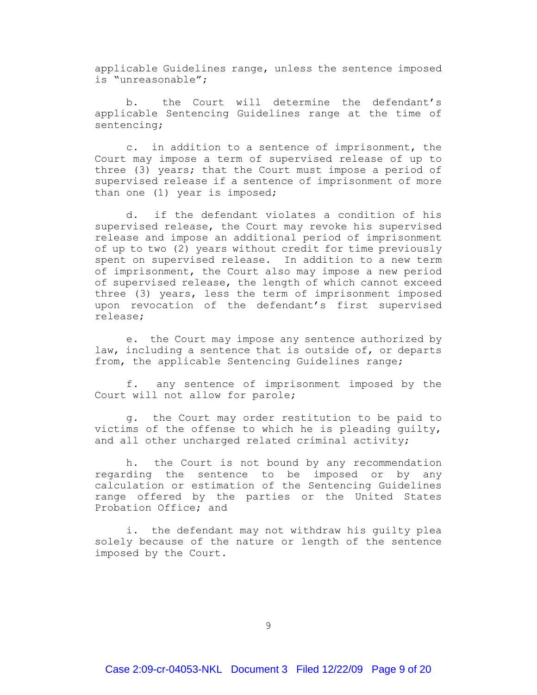applicable Guidelines range, unless the sentence imposed is "unreasonable";

b. the Court will determine the defendant's applicable Sentencing Guidelines range at the time of sentencing;

c. in addition to a sentence of imprisonment, the Court may impose a term of supervised release of up to three (3) years; that the Court must impose a period of supervised release if a sentence of imprisonment of more than one (1) year is imposed;

d. if the defendant violates a condition of his supervised release, the Court may revoke his supervised release and impose an additional period of imprisonment of up to two (2) years without credit for time previously spent on supervised release. In addition to a new term of imprisonment, the Court also may impose a new period of supervised release, the length of which cannot exceed three (3) years, less the term of imprisonment imposed upon revocation of the defendant's first supervised release;

e. the Court may impose any sentence authorized by law, including a sentence that is outside of, or departs from, the applicable Sentencing Guidelines range;

f. any sentence of imprisonment imposed by the Court will not allow for parole;

g. the Court may order restitution to be paid to victims of the offense to which he is pleading guilty, and all other uncharged related criminal activity;

h. the Court is not bound by any recommendation regarding the sentence to be imposed or by any calculation or estimation of the Sentencing Guidelines range offered by the parties or the United States Probation Office; and

i. the defendant may not withdraw his guilty plea solely because of the nature or length of the sentence imposed by the Court.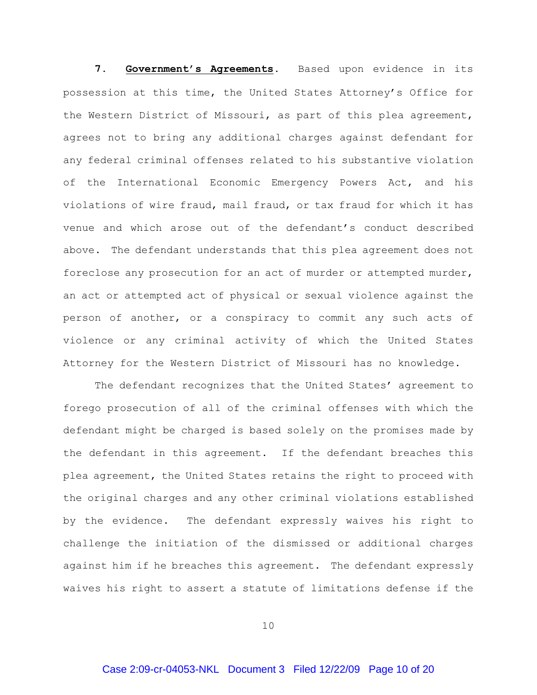7. Government's Agreements. Based upon evidence in its possession at this time, the United States Attorney's Office for the Western District of Missouri, as part of this plea agreement, agrees not to bring any additional charges against defendant for any federal criminal offenses related to his substantive violation of the International Economic Emergency Powers Act, and his violations of wire fraud, mail fraud, or tax fraud for which it has venue and which arose out of the defendant's conduct described above. The defendant understands that this plea agreement does not foreclose any prosecution for an act of murder or attempted murder, an act or attempted act of physical or sexual violence against the person of another, or a conspiracy to commit any such acts of violence or any criminal activity of which the United States Attorney for the Western District of Missouri has no knowledge.

The defendant recognizes that the United States' agreement to forego prosecution of all of the criminal offenses with which the defendant might be charged is based solely on the promises made by the defendant in this agreement. If the defendant breaches this plea agreement, the United States retains the right to proceed with the original charges and any other criminal violations established by the evidence. The defendant expressly waives his right to challenge the initiation of the dismissed or additional charges against him if he breaches this agreement. The defendant expressly waives his right to assert a statute of limitations defense if the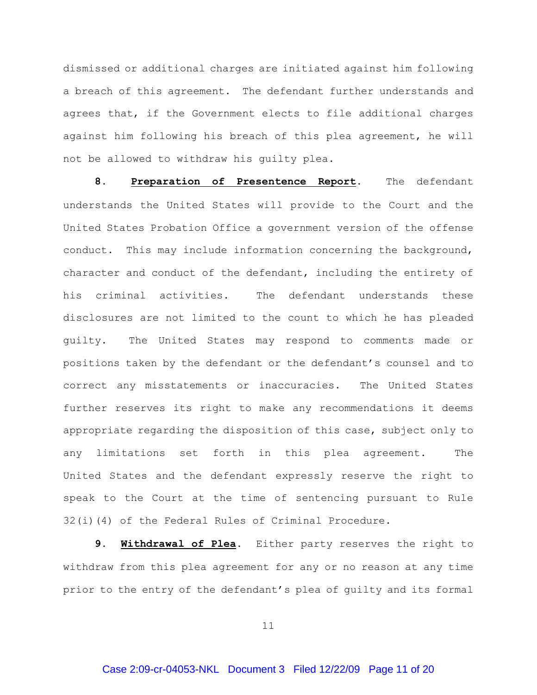dismissed or additional charges are initiated against him following a breach of this agreement. The defendant further understands and agrees that, if the Government elects to file additional charges against him following his breach of this plea agreement, he will not be allowed to withdraw his guilty plea.

**8. Preparation of Presentence Report.** The defendant understands the United States will provide to the Court and the United States Probation Office a government version of the offense conduct. This may include information concerning the background, character and conduct of the defendant, including the entirety of his criminal activities. The defendant understands these disclosures are not limited to the count to which he has pleaded guilty. The United States may respond to comments made or positions taken by the defendant or the defendant's counsel and to correct any misstatements or inaccuracies. The United States further reserves its right to make any recommendations it deems appropriate regarding the disposition of this case, subject only to any limitations set forth in this plea agreement. The United States and the defendant expressly reserve the right to speak to the Court at the time of sentencing pursuant to Rule 32(i)(4) of the Federal Rules of Criminal Procedure.

**9. Withdrawal of Plea.** Either party reserves the right to withdraw from this plea agreement for any or no reason at any time prior to the entry of the defendant's plea of guilty and its formal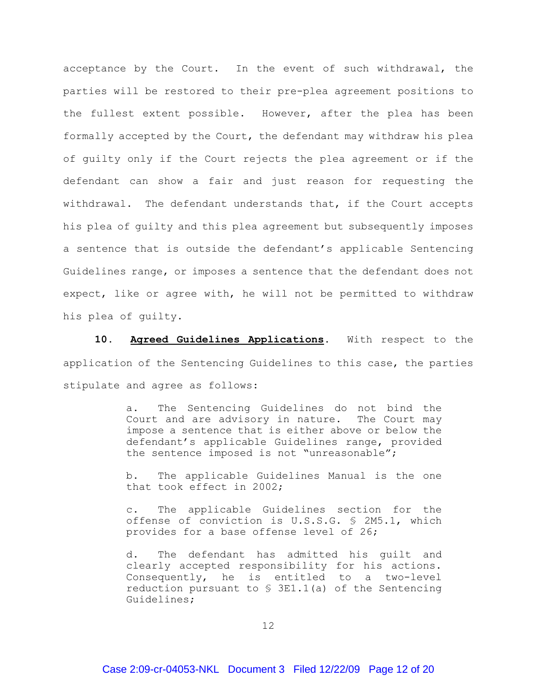acceptance by the Court. In the event of such withdrawal, the parties will be restored to their pre-plea agreement positions to the fullest extent possible. However, after the plea has been formally accepted by the Court, the defendant may withdraw his plea of guilty only if the Court rejects the plea agreement or if the defendant can show a fair and just reason for requesting the withdrawal. The defendant understands that, if the Court accepts his plea of guilty and this plea agreement but subsequently imposes a sentence that is outside the defendant's applicable Sentencing Guidelines range, or imposes a sentence that the defendant does not expect, like or agree with, he will not be permitted to withdraw his plea of guilty.

**10. Agreed Guidelines Applications.** With respect to the application of the Sentencing Guidelines to this case, the parties stipulate and agree as follows:

> a. The Sentencing Guidelines do not bind the Court and are advisory in nature. The Court may impose a sentence that is either above or below the defendant's applicable Guidelines range, provided the sentence imposed is not "unreasonable";

> b. The applicable Guidelines Manual is the one that took effect in 2002;

> c. The applicable Guidelines section for the offense of conviction is U.S.S.G. § 2M5.1, which provides for a base offense level of 26;

> d. The defendant has admitted his guilt and clearly accepted responsibility for his actions. Consequently, he is entitled to a two-level reduction pursuant to § 3E1.1(a) of the Sentencing Guidelines;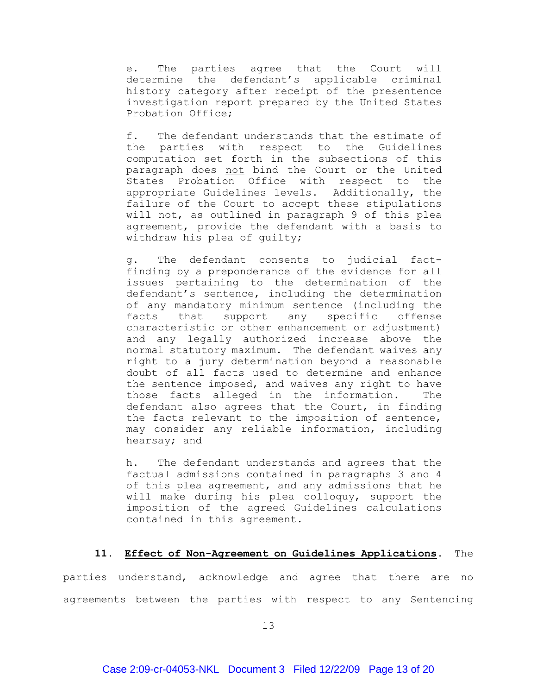e. The parties agree that the Court will determine the defendant's applicable criminal history category after receipt of the presentence investigation report prepared by the United States Probation Office;

f. The defendant understands that the estimate of the parties with respect to the Guidelines computation set forth in the subsections of this paragraph does not bind the Court or the United States Probation Office with respect to the appropriate Guidelines levels. Additionally, the failure of the Court to accept these stipulations will not, as outlined in paragraph 9 of this plea agreement, provide the defendant with a basis to withdraw his plea of guilty;

g. The defendant consents to judicial factfinding by a preponderance of the evidence for all issues pertaining to the determination of the defendant's sentence, including the determination of any mandatory minimum sentence (including the facts that support any specific offense characteristic or other enhancement or adjustment) and any legally authorized increase above the normal statutory maximum. The defendant waives any right to a jury determination beyond a reasonable doubt of all facts used to determine and enhance the sentence imposed, and waives any right to have those facts alleged in the information. The defendant also agrees that the Court, in finding the facts relevant to the imposition of sentence, may consider any reliable information, including hearsay; and

h. The defendant understands and agrees that the factual admissions contained in paragraphs 3 and 4 of this plea agreement, and any admissions that he will make during his plea colloquy, support the imposition of the agreed Guidelines calculations contained in this agreement.

# **11. Effect of Non-Agreement on Guidelines Applications.** The

parties understand, acknowledge and agree that there are no agreements between the parties with respect to any Sentencing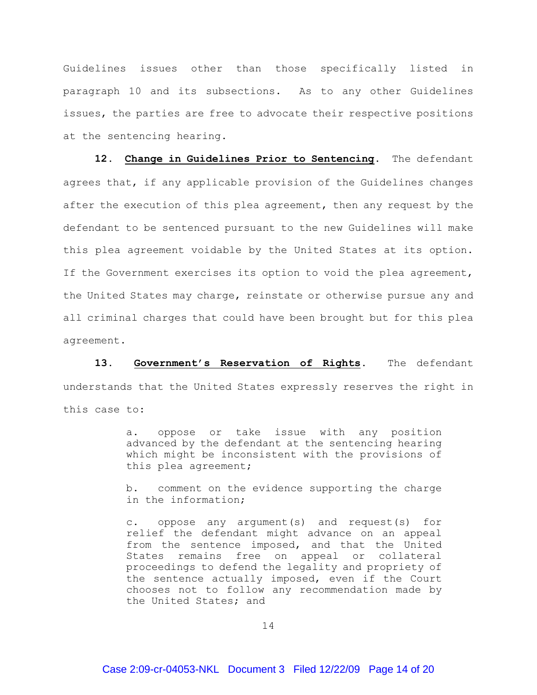Guidelines issues other than those specifically listed in paragraph 10 and its subsections. As to any other Guidelines issues, the parties are free to advocate their respective positions at the sentencing hearing.

**12. Change in Guidelines Prior to Sentencing.** The defendant agrees that, if any applicable provision of the Guidelines changes after the execution of this plea agreement, then any request by the defendant to be sentenced pursuant to the new Guidelines will make this plea agreement voidable by the United States at its option. If the Government exercises its option to void the plea agreement, the United States may charge, reinstate or otherwise pursue any and all criminal charges that could have been brought but for this plea agreement.

**13. Government's Reservation of Rights.** The defendant understands that the United States expressly reserves the right in this case to:

> a. oppose or take issue with any position advanced by the defendant at the sentencing hearing which might be inconsistent with the provisions of this plea agreement;

> b. comment on the evidence supporting the charge in the information;

> c. oppose any argument(s) and request(s) for relief the defendant might advance on an appeal from the sentence imposed, and that the United States remains free on appeal or collateral proceedings to defend the legality and propriety of the sentence actually imposed, even if the Court chooses not to follow any recommendation made by the United States; and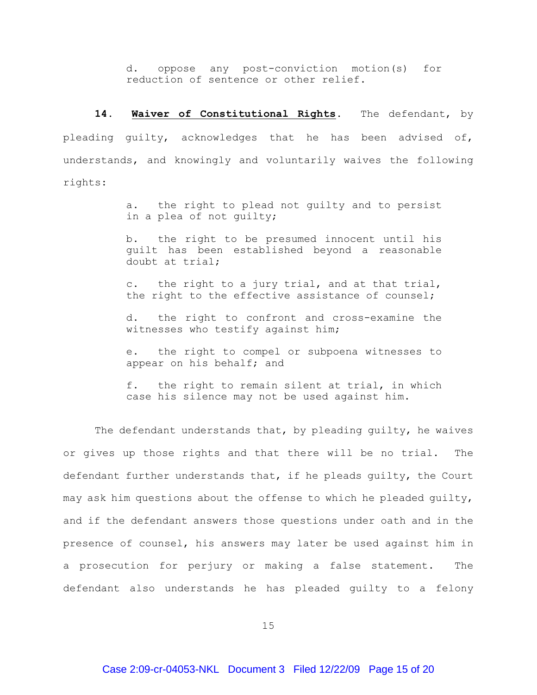d. oppose any post-conviction motion(s) for reduction of sentence or other relief.

**14. Waiver of Constitutional Rights.** The defendant, by pleading guilty, acknowledges that he has been advised of, understands, and knowingly and voluntarily waives the following rights:

> a. the right to plead not guilty and to persist in a plea of not guilty;

> b. the right to be presumed innocent until his guilt has been established beyond a reasonable doubt at trial;

> c. the right to a jury trial, and at that trial, the right to the effective assistance of counsel;

> d. the right to confront and cross-examine the witnesses who testify against him;

> e. the right to compel or subpoena witnesses to appear on his behalf; and

> f. the right to remain silent at trial, in which case his silence may not be used against him.

The defendant understands that, by pleading quilty, he waives or gives up those rights and that there will be no trial. The defendant further understands that, if he pleads guilty, the Court may ask him questions about the offense to which he pleaded guilty, and if the defendant answers those questions under oath and in the presence of counsel, his answers may later be used against him in a prosecution for perjury or making a false statement. The defendant also understands he has pleaded guilty to a felony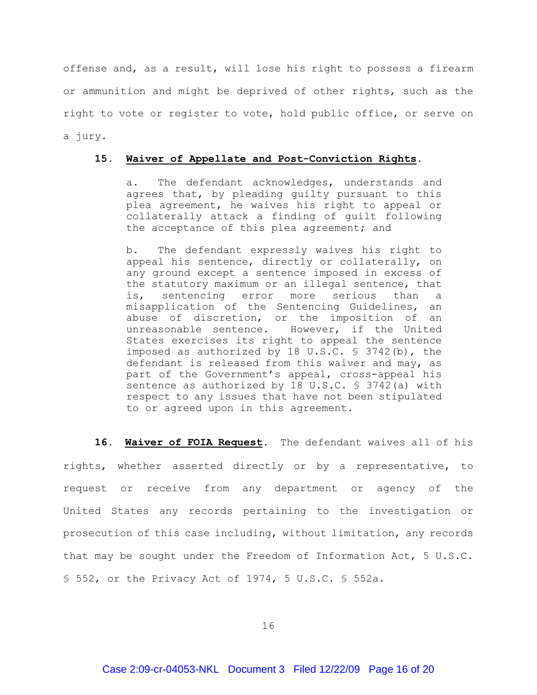offense and, as a result, will lose his right to possess a firearm or ammunition and might be deprived of other rights, such as the right to vote or register to vote, hold public office, or serve on a jury.

### **15. Waiver of Appellate and Post-Conviction Rights.**

a. The defendant acknowledges, understands and agrees that, by pleading guilty pursuant to this plea agreement, he waives his right to appeal or collaterally attack a finding of guilt following the acceptance of this plea agreement; and

b. The defendant expressly waives his right to appeal his sentence, directly or collaterally, on any ground except a sentence imposed in excess of the statutory maximum or an illegal sentence, that is, sentencing error more serious than a misapplication of the Sentencing Guidelines, an abuse of discretion, or the imposition of an unreasonable sentence. However, if the United States exercises its right to appeal the sentence imposed as authorized by 18 U.S.C. § 3742(b), the defendant is released from this waiver and may, as part of the Government's appeal, cross-appeal his sentence as authorized by 18 U.S.C. § 3742(a) with respect to any issues that have not been stipulated to or agreed upon in this agreement.

**16. Waiver of FOIA Request.** The defendant waives all of his rights, whether asserted directly or by a representative, to request or receive from any department or agency of the United States any records pertaining to the investigation or prosecution of this case including, without limitation, any records that may be sought under the Freedom of Information Act, 5 U.S.C. § 552, or the Privacy Act of 1974, 5 U.S.C. § 552a.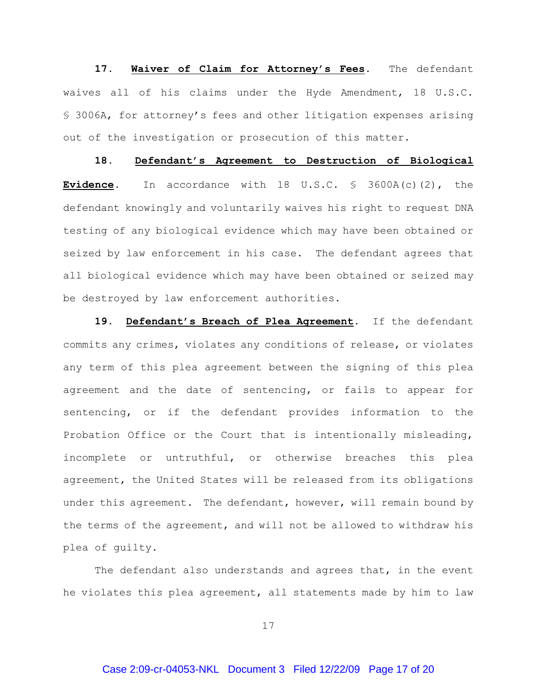17. Waiver of Claim for Attorney's Fees. The defendant waives all of his claims under the Hyde Amendment, 18 U.S.C. § 3006A, for attorney's fees and other litigation expenses arising out of the investigation or prosecution of this matter.

**18. Defendant's Agreement to Destruction of Biological Evidence.** In accordance with 18 U.S.C. § 3600A(c)(2), the defendant knowingly and voluntarily waives his right to request DNA testing of any biological evidence which may have been obtained or seized by law enforcement in his case. The defendant agrees that all biological evidence which may have been obtained or seized may be destroyed by law enforcement authorities.

**19. Defendant's Breach of Plea Agreement.** If the defendant commits any crimes, violates any conditions of release, or violates any term of this plea agreement between the signing of this plea agreement and the date of sentencing, or fails to appear for sentencing, or if the defendant provides information to the Probation Office or the Court that is intentionally misleading, incomplete or untruthful, or otherwise breaches this plea agreement, the United States will be released from its obligations under this agreement. The defendant, however, will remain bound by the terms of the agreement, and will not be allowed to withdraw his plea of guilty.

The defendant also understands and agrees that, in the event he violates this plea agreement, all statements made by him to law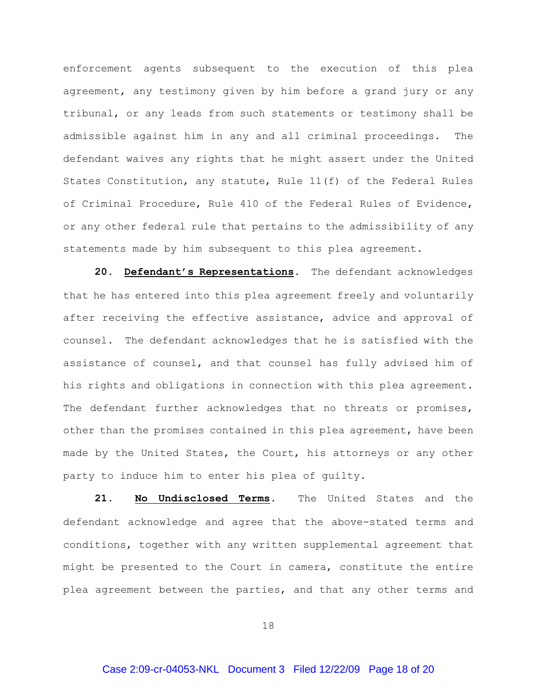enforcement agents subsequent to the execution of this plea agreement, any testimony given by him before a grand jury or any tribunal, or any leads from such statements or testimony shall be admissible against him in any and all criminal proceedings. The defendant waives any rights that he might assert under the United States Constitution, any statute, Rule 11(f) of the Federal Rules of Criminal Procedure, Rule 410 of the Federal Rules of Evidence, or any other federal rule that pertains to the admissibility of any statements made by him subsequent to this plea agreement.

**20. Defendant's Representations.** The defendant acknowledges that he has entered into this plea agreement freely and voluntarily after receiving the effective assistance, advice and approval of counsel. The defendant acknowledges that he is satisfied with the assistance of counsel, and that counsel has fully advised him of his rights and obligations in connection with this plea agreement. The defendant further acknowledges that no threats or promises, other than the promises contained in this plea agreement, have been made by the United States, the Court, his attorneys or any other party to induce him to enter his plea of guilty.

**21. No Undisclosed Terms.** The United States and the defendant acknowledge and agree that the above-stated terms and conditions, together with any written supplemental agreement that might be presented to the Court in camera, constitute the entire plea agreement between the parties, and that any other terms and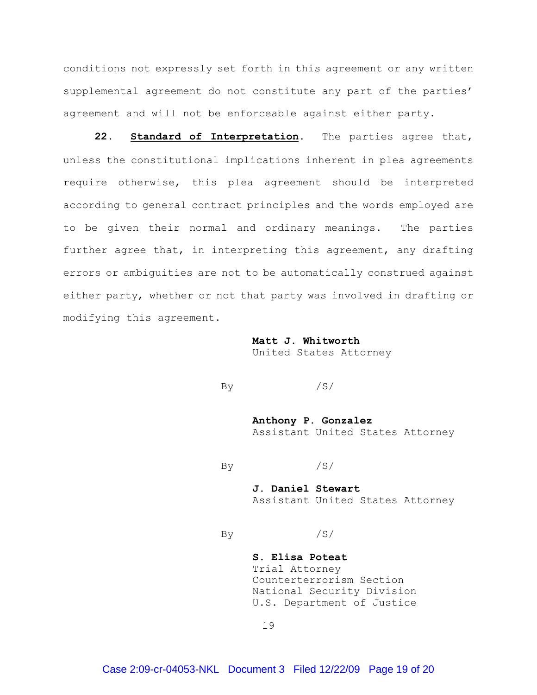conditions not expressly set forth in this agreement or any written supplemental agreement do not constitute any part of the parties' agreement and will not be enforceable against either party.

**22. Standard of Interpretation.** The parties agree that, unless the constitutional implications inherent in plea agreements require otherwise, this plea agreement should be interpreted according to general contract principles and the words employed are to be given their normal and ordinary meanings. The parties further agree that, in interpreting this agreement, any drafting errors or ambiguities are not to be automatically construed against either party, whether or not that party was involved in drafting or modifying this agreement.

> **Matt J. Whitworth** United States Attorney

By  $/S/$ 

**Anthony P. Gonzalez** Assistant United States Attorney

 $\mathbf{B}\mathbf{v}$  /S/

**J. Daniel Stewart** Assistant United States Attorney

By  $/S/$ 

**S. Elisa Poteat** Trial Attorney Counterterrorism Section National Security Division U.S. Department of Justice